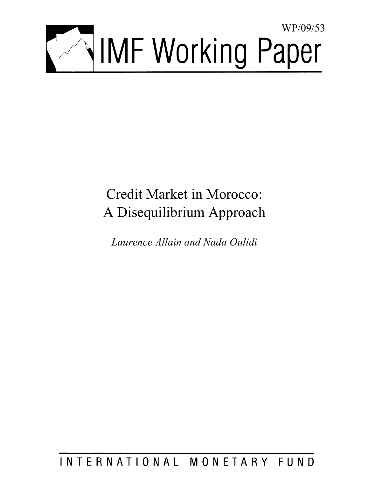

# Credit Market in Morocco: A Disequilibrium Approach

*Laurence Allain and Nada Oulidi* 

## INTERNATIONAL MONETARY FUND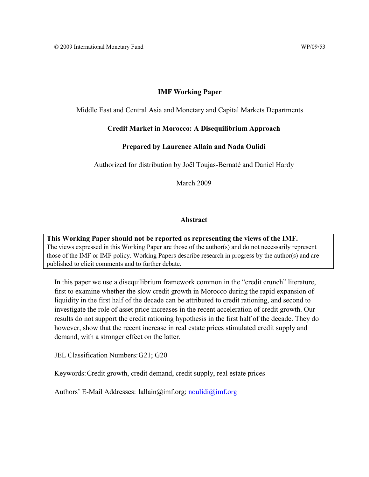#### **IMF Working Paper**

Middle East and Central Asia and Monetary and Capital Markets Departments

#### **Credit Market in Morocco: A Disequilibrium Approach**

#### **Prepared by Laurence Allain and Nada Oulidi**

Authorized for distribution by Joël Toujas-Bernaté and Daniel Hardy

March 2009

#### **Abstract**

**This Working Paper should not be reported as representing the views of the IMF.** The views expressed in this Working Paper are those of the author(s) and do not necessarily represent those of the IMF or IMF policy. Working Papers describe research in progress by the author(s) and are published to elicit comments and to further debate.

In this paper we use a disequilibrium framework common in the "credit crunch" literature, first to examine whether the slow credit growth in Morocco during the rapid expansion of liquidity in the first half of the decade can be attributed to credit rationing, and second to investigate the role of asset price increases in the recent acceleration of credit growth. Our results do not support the credit rationing hypothesis in the first half of the decade. They do however, show that the recent increase in real estate prices stimulated credit supply and demand, with a stronger effect on the latter.

JEL Classification Numbers: G21; G20

Keywords: Credit growth, credit demand, credit supply, real estate prices

Authors' E-Mail Addresses: lallain@imf.org; noulidi@imf.org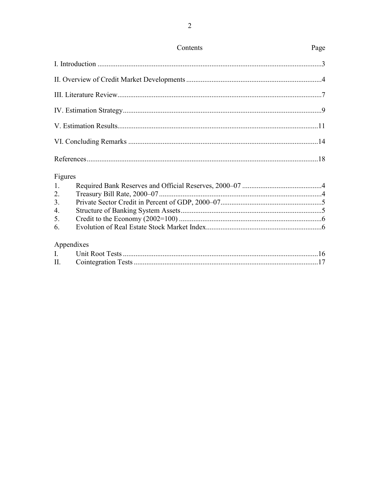| Contents | Page |
|----------|------|
|          |      |
|          |      |
|          |      |
|          |      |
|          |      |
|          |      |
|          |      |

## Figures

## Appendixes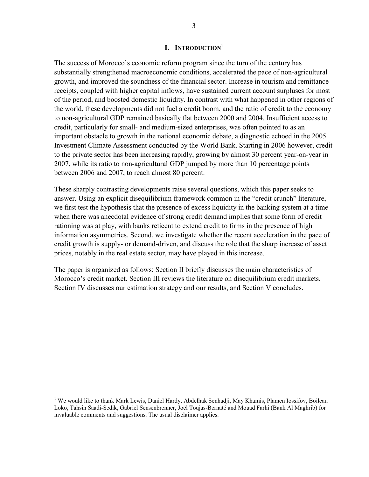#### **I. INTRODUCTION1**

The success of Morocco's economic reform program since the turn of the century has substantially strengthened macroeconomic conditions, accelerated the pace of non-agricultural growth, and improved the soundness of the financial sector. Increase in tourism and remittance receipts, coupled with higher capital inflows, have sustained current account surpluses for most of the period, and boosted domestic liquidity. In contrast with what happened in other regions of the world, these developments did not fuel a credit boom, and the ratio of credit to the economy to non-agricultural GDP remained basically flat between 2000 and 2004. Insufficient access to credit, particularly for small- and medium-sized enterprises, was often pointed to as an important obstacle to growth in the national economic debate, a diagnostic echoed in the 2005 Investment Climate Assessment conducted by the World Bank. Starting in 2006 however, credit to the private sector has been increasing rapidly, growing by almost 30 percent year-on-year in 2007, while its ratio to non-agricultural GDP jumped by more than 10 percentage points between 2006 and 2007, to reach almost 80 percent.

These sharply contrasting developments raise several questions, which this paper seeks to answer. Using an explicit disequilibrium framework common in the "credit crunch" literature, we first test the hypothesis that the presence of excess liquidity in the banking system at a time when there was anecdotal evidence of strong credit demand implies that some form of credit rationing was at play, with banks reticent to extend credit to firms in the presence of high information asymmetries. Second, we investigate whether the recent acceleration in the pace of credit growth is supply- or demand-driven, and discuss the role that the sharp increase of asset prices, notably in the real estate sector, may have played in this increase.

The paper is organized as follows: Section II briefly discusses the main characteristics of Morocco's credit market. Section III reviews the literature on disequilibrium credit markets. Section IV discusses our estimation strategy and our results, and Section V concludes.

 $\overline{a}$ 

<sup>&</sup>lt;sup>1</sup> We would like to thank Mark Lewis, Daniel Hardy, Abdelhak Senhadji, May Khamis, Plamen Iossifov, Boileau Loko, Tahsin Saadi-Sedik, Gabriel Sensenbrenner, Joël Toujas-Bernaté and Mouad Farhi (Bank Al Maghrib) for invaluable comments and suggestions. The usual disclaimer applies.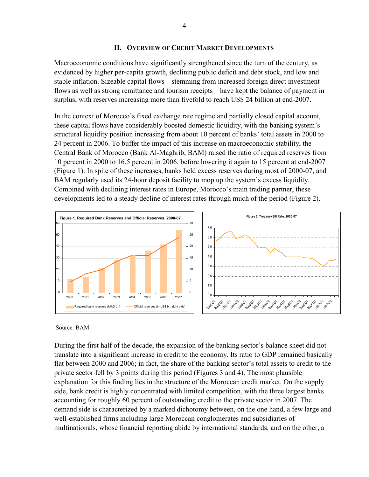#### **II. OVERVIEW OF CREDIT MARKET DEVELOPMENTS**

Macroeconomic conditions have significantly strengthened since the turn of the century, as evidenced by higher per-capita growth, declining public deficit and debt stock, and low and stable inflation. Sizeable capital flows—stemming from increased foreign direct investment flows as well as strong remittance and tourism receipts—have kept the balance of payment in surplus, with reserves increasing more than fivefold to reach US\$ 24 billion at end-2007.

In the context of Morocco's fixed exchange rate regime and partially closed capital account, these capital flows have considerably boosted domestic liquidity, with the banking system's structural liquidity position increasing from about 10 percent of banks' total assets in 2000 to 24 percent in 2006. To buffer the impact of this increase on macroeconomic stability, the Central Bank of Morocco (Bank Al-Maghrib, BAM) raised the ratio of required reserves from 10 percent in 2000 to 16.5 percent in 2006, before lowering it again to 15 percent at end-2007 (Figure 1). In spite of these increases, banks held excess reserves during most of 2000-07, and BAM regularly used its 24-hour deposit facility to mop up the system's excess liquidity. Combined with declining interest rates in Europe, Morocco's main trading partner, these developments led to a steady decline of interest rates through much of the period (Figure 2).



#### Source: BAM

During the first half of the decade, the expansion of the banking sector's balance sheet did not translate into a significant increase in credit to the economy. Its ratio to GDP remained basically flat between 2000 and 2006; in fact, the share of the banking sector's total assets to credit to the private sector fell by 3 points during this period (Figures 3 and 4). The most plausible explanation for this finding lies in the structure of the Moroccan credit market. On the supply side, bank credit is highly concentrated with limited competition, with the three largest banks accounting for roughly 60 percent of outstanding credit to the private sector in 2007. The demand side is characterized by a marked dichotomy between, on the one hand, a few large and well-established firms including large Moroccan conglomerates and subsidiaries of multinationals, whose financial reporting abide by international standards, and on the other, a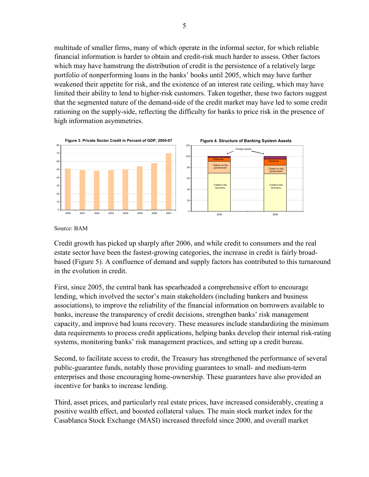multitude of smaller firms, many of which operate in the informal sector, for which reliable financial information is harder to obtain and credit-risk much harder to assess. Other factors which may have hamstrung the distribution of credit is the persistence of a relatively large portfolio of nonperforming loans in the banks' books until 2005, which may have further weakened their appetite for risk, and the existence of an interest rate ceiling, which may have limited their ability to lend to higher-risk customers. Taken together, these two factors suggest that the segmented nature of the demand-side of the credit market may have led to some credit rationing on the supply-side, reflecting the difficulty for banks to price risk in the presence of high information asymmetries.



Source: BAM

Credit growth has picked up sharply after 2006, and while credit to consumers and the real estate sector have been the fastest-growing categories, the increase in credit is fairly broadbased (Figure 5). A confluence of demand and supply factors has contributed to this turnaround in the evolution in credit.

First, since 2005, the central bank has spearheaded a comprehensive effort to encourage lending, which involved the sector's main stakeholders (including bankers and business associations), to improve the reliability of the financial information on borrowers available to banks, increase the transparency of credit decisions, strengthen banks' risk management capacity, and improve bad loans recovery. These measures include standardizing the minimum data requirements to process credit applications, helping banks develop their internal risk-rating systems, monitoring banks' risk management practices, and setting up a credit bureau.

Second, to facilitate access to credit, the Treasury has strengthened the performance of several public-guarantee funds, notably those providing guarantees to small- and medium-term enterprises and those encouraging home-ownership. These guarantees have also provided an incentive for banks to increase lending.

Third, asset prices, and particularly real estate prices, have increased considerably, creating a positive wealth effect, and boosted collateral values. The main stock market index for the Casablanca Stock Exchange (MASI) increased threefold since 2000, and overall market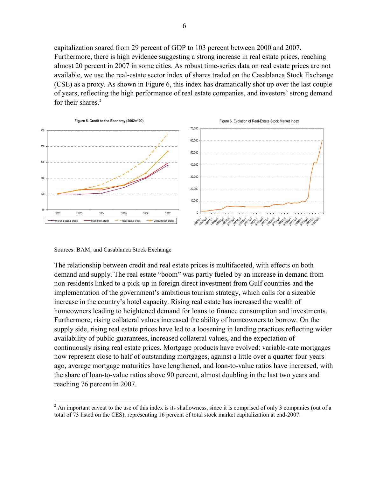capitalization soared from 29 percent of GDP to 103 percent between 2000 and 2007. Furthermore, there is high evidence suggesting a strong increase in real estate prices, reaching almost 20 percent in 2007 in some cities. As robust time-series data on real estate prices are not available, we use the real-estate sector index of shares traded on the Casablanca Stock Exchange (CSE) as a proxy. As shown in Figure 6, this index has dramatically shot up over the last couple of years, reflecting the high performance of real estate companies, and investors' strong demand for their shares.<sup>2</sup>



Sources: BAM; and Casablanca Stock Exchange

 $\overline{a}$ 

The relationship between credit and real estate prices is multifaceted, with effects on both demand and supply. The real estate "boom" was partly fueled by an increase in demand from non-residents linked to a pick-up in foreign direct investment from Gulf countries and the implementation of the government's ambitious tourism strategy, which calls for a sizeable increase in the country's hotel capacity. Rising real estate has increased the wealth of homeowners leading to heightened demand for loans to finance consumption and investments. Furthermore, rising collateral values increased the ability of homeowners to borrow. On the supply side, rising real estate prices have led to a loosening in lending practices reflecting wider availability of public guarantees, increased collateral values, and the expectation of continuously rising real estate prices. Mortgage products have evolved: variable-rate mortgages now represent close to half of outstanding mortgages, against a little over a quarter four years ago, average mortgage maturities have lengthened, and loan-to-value ratios have increased, with the share of loan-to-value ratios above 90 percent, almost doubling in the last two years and reaching 76 percent in 2007.

 $2^2$  An important caveat to the use of this index is its shallowness, since it is comprised of only 3 companies (out of a total of 73 listed on the CES), representing 16 percent of total stock market capitalization at end-2007.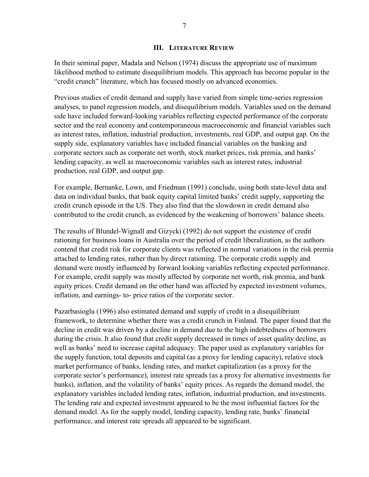#### **III. LITERATURE REVIEW**

In their seminal paper, Madala and Nelson (1974) discuss the appropriate use of maximum likelihood method to estimate disequilibrium models. This approach has become popular in the "credit crunch" literature, which has focused mostly on advanced economies.

Previous studies of credit demand and supply have varied from simple time-series regression analyses, to panel regression models, and disequilibrium models. Variables used on the demand side have included forward-looking variables reflecting expected performance of the corporate sector and the real economy and contemporaneous macroeconomic and financial variables such as interest rates, inflation, industrial production, investments, real GDP, and output gap. On the supply side, explanatory variables have included financial variables on the banking and corporate sectors such as corporate net worth, stock market prices, risk premia, and banks' lending capacity, as well as macroeconomic variables such as interest rates, industrial production, real GDP, and output gap.

For example, Bernanke, Lown, and Friedman (1991) conclude, using both state-level data and data on individual banks, that bank equity capital limited banks' credit supply, supporting the credit crunch episode in the US. They also find that the slowdown in credit demand also contributed to the credit crunch, as evidenced by the weakening of borrowers' balance sheets.

The results of Blundel-Wignall and Gizycki (1992) do not support the existence of credit rationing for business loans in Australia over the period of credit liberalization, as the authors contend that credit risk for corporate clients was reflected in normal variations in the risk premia attached to lending rates, rather than by direct rationing. The corporate credit supply and demand were mostly influenced by forward looking variables reflecting expected performance. For example, credit supply was mostly affected by corporate net worth, risk premia, and bank equity prices. Credit demand on the other hand was affected by expected investment volumes, inflation, and earnings- to- price ratios of the corporate sector.

Pazarbasioglu (1996) also estimated demand and supply of credit in a disequilibrium framework, to determine whether there was a credit crunch in Finland. The paper found that the decline in credit was driven by a decline in demand due to the high indebtedness of borrowers during the crisis. It also found that credit supply decreased in times of asset quality decline, as well as banks' need to increase capital adequacy. The paper used as explanatory variables for the supply function, total deposits and capital (as a proxy for lending capacity), relative stock market performance of banks, lending rates, and market capitalization (as a proxy for the corporate sector's performance), interest rate spreads (as a proxy for alternative investments for banks), inflation, and the volatility of banks' equity prices. As regards the demand model, the explanatory variables included lending rates, inflation, industrial production, and investments. The lending rate and expected investment appeared to be the most influential factors for the demand model. As for the supply model, lending capacity, lending rate, banks' financial performance, and interest rate spreads all appeared to be significant.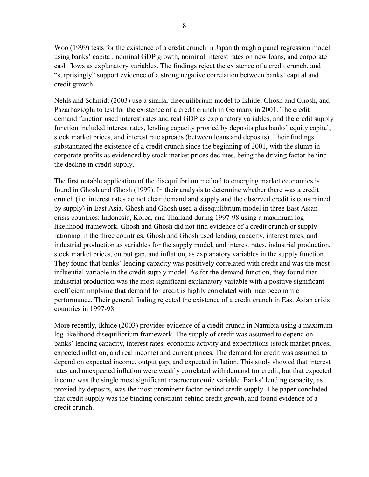Woo (1999) tests for the existence of a credit crunch in Japan through a panel regression model using banks' capital, nominal GDP growth, nominal interest rates on new loans, and corporate cash flows as explanatory variables. The findings reject the existence of a credit crunch, and "surprisingly" support evidence of a strong negative correlation between banks' capital and credit growth.

Nehls and Schmidt (2003) use a similar disequilibrium model to Ikhide, Ghosh and Ghosh, and Pazarbazioglu to test for the existence of a credit crunch in Germany in 2001. The credit demand function used interest rates and real GDP as explanatory variables, and the credit supply function included interest rates, lending capacity proxied by deposits plus banks' equity capital, stock market prices, and interest rate spreads (between loans and deposits). Their findings substantiated the existence of a credit crunch since the beginning of 2001, with the slump in corporate profits as evidenced by stock market prices declines, being the driving factor behind the decline in credit supply.

The first notable application of the disequilibrium method to emerging market economies is found in Ghosh and Ghosh (1999). In their analysis to determine whether there was a credit crunch (i.e. interest rates do not clear demand and supply and the observed credit is constrained by supply) in East Asia, Ghosh and Ghosh used a disequilibrium model in three East Asian crisis countries: Indonesia, Korea, and Thailand during 1997-98 using a maximum log likelihood framework. Ghosh and Ghosh did not find evidence of a credit crunch or supply rationing in the three countries. Ghosh and Ghosh used lending capacity, interest rates, and industrial production as variables for the supply model, and interest rates, industrial production, stock market prices, output gap, and inflation, as explanatory variables in the supply function. They found that banks' lending capacity was positively correlated with credit and was the most influential variable in the credit supply model. As for the demand function, they found that industrial production was the most significant explanatory variable with a positive significant coefficient implying that demand for credit is highly correlated with macroeconomic performance. Their general finding rejected the existence of a credit crunch in East Asian crisis countries in 1997-98.

More recently, Ikhide (2003) provides evidence of a credit crunch in Namibia using a maximum log likelihood disequilibrium framework. The supply of credit was assumed to depend on banks' lending capacity, interest rates, economic activity and expectations (stock market prices, expected inflation, and real income) and current prices. The demand for credit was assumed to depend on expected income, output gap, and expected inflation. This study showed that interest rates and unexpected inflation were weakly correlated with demand for credit, but that expected income was the single most significant macroeconomic variable. Banks' lending capacity, as proxied by deposits, was the most prominent factor behind credit supply. The paper concluded that credit supply was the binding constraint behind credit growth, and found evidence of a credit crunch.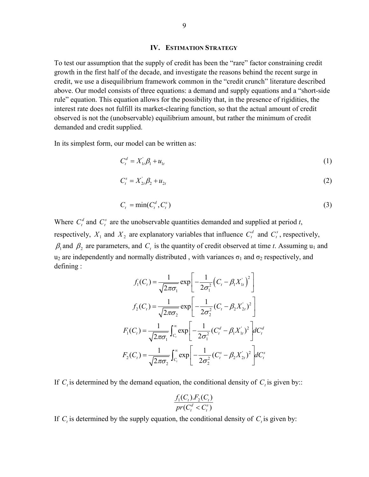#### **IV. ESTIMATION STRATEGY**

To test our assumption that the supply of credit has been the "rare" factor constraining credit growth in the first half of the decade, and investigate the reasons behind the recent surge in credit, we use a disequilibrium framework common in the "credit crunch" literature described above. Our model consists of three equations: a demand and supply equations and a "short-side rule" equation. This equation allows for the possibility that, in the presence of rigidities, the interest rate does not fulfill its market-clearing function, so that the actual amount of credit observed is not the (unobservable) equilibrium amount, but rather the minimum of credit demanded and credit supplied.

In its simplest form, our model can be written as:

$$
C_t^d = X_{1t}^{\dagger} \beta_1 + u_{1t} \tag{1}
$$

$$
C_t^s = X_{2t}' \beta_2 + u_{2t} \tag{2}
$$

$$
C_t = \min(C_t^d, C_t^s) \tag{3}
$$

Where  $C_t^d$  and  $C_t^s$  are the unobservable quantities demanded and supplied at period *t*, respectively,  $X_1$  and  $X_2$  are explanatory variables that influence  $C_t^d$  and  $C_t^s$ , respectively,  $\beta_1$  and  $\beta_2$  are parameters, and  $C_t$  is the quantity of credit observed at time *t*. Assuming  $u_1$  and u<sub>2</sub> are independently and normally distributed, with variances  $\sigma_1$  and  $\sigma_2$  respectively, and defining :

$$
f_1(C_t) = \frac{1}{\sqrt{2\pi\sigma_1}} \exp\left[-\frac{1}{2\sigma_1^2} \left(C_t - \beta_1 X_{1t}^{\dagger}\right)^2\right]
$$

$$
f_2(C_t) = \frac{1}{\sqrt{2\pi\sigma_2}} \exp\left[-\frac{1}{2\sigma_2^2} \left(C_t - \beta_2 X_{2t}^{\dagger}\right)^2\right]
$$

$$
F_1(C_t) = \frac{1}{\sqrt{2\pi\sigma_1}} \int_{C_t}^{\infty} \exp\left[-\frac{1}{2\sigma_1^2} \left(C_t^d - \beta_1 X_{1t}^{\dagger}\right)^2\right] dC_t^d
$$

$$
F_2(C_t) = \frac{1}{\sqrt{2\pi\sigma_2}} \int_{C_t}^{\infty} \exp\left[-\frac{1}{2\sigma_2^2} \left(C_t^s - \beta_2 X_{2t}^{\dagger}\right)^2\right] dC_t^s
$$

If  $C_t$  is determined by the demand equation, the conditional density of  $C_t$  is given by::

$$
\frac{f_1(C_t).F_2(C_t)}{pr(C_t^d < C_t^s)}
$$

If  $C_t$  is determined by the supply equation, the conditional density of  $C_t$  is given by: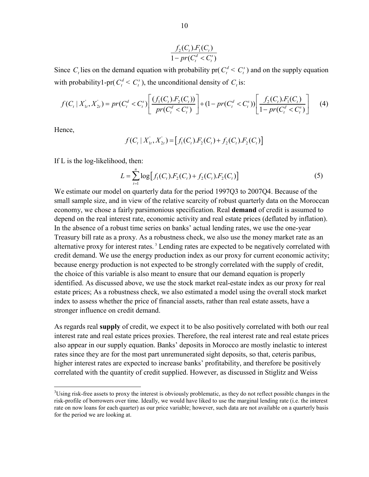$$
\frac{f_2(C_t).F_1(C_t)}{1 - pr(C_t^d < C_t^s)}
$$

Since  $C_t$  lies on the demand equation with probability pr( $C_t^d \leq C_t^s$ ) and on the supply equation with probability1-pr( $C_t^d < C_t^s$ ), the unconditional density of *C*, is:

$$
f(C_t | X_{1t}^{\prime}, X_{2t}^{\prime}) = pr(C_t^d < C_t^s) \left[ \frac{(f_1(C_t).F_2(C_t))}{pr(C_t^d < C_t^s)} \right] + (1 - pr(C_t^d < C_t^s)) \left[ \frac{f_2(C_t).F_1(C_t)}{1 - pr(C_t^d < C_t^s)} \right] \tag{4}
$$

Hence,

1

$$
f(C_t | X'_{1t}, X'_{2t}) = [f_1(C_t).F_2(C_t) + f_2(C_t).F_2(C_t)]
$$

If L is the log-likelihood, then:

$$
L = \sum_{t=1}^{n} \log \left[ f_1(C_t) . F_2(C_t) + f_2(C_t) . F_2(C_t) \right]
$$
\n(5)

We estimate our model on quarterly data for the period 1997Q3 to 2007Q4. Because of the small sample size, and in view of the relative scarcity of robust quarterly data on the Moroccan economy, we chose a fairly parsimonious specification. Real **demand** of credit is assumed to depend on the real interest rate, economic activity and real estate prices (deflated by inflation). In the absence of a robust time series on banks' actual lending rates, we use the one-year Treasury bill rate as a proxy. As a robustness check, we also use the money market rate as an alternative proxy for interest rates.<sup>3</sup> Lending rates are expected to be negatively correlated with credit demand. We use the energy production index as our proxy for current economic activity; because energy production is not expected to be strongly correlated with the supply of credit, the choice of this variable is also meant to ensure that our demand equation is properly identified. As discussed above, we use the stock market real-estate index as our proxy for real estate prices; As a robustness check, we also estimated a model using the overall stock market index to assess whether the price of financial assets, rather than real estate assets, have a stronger influence on credit demand.

As regards real **supply** of credit, we expect it to be also positively correlated with both our real interest rate and real estate prices proxies. Therefore, the real interest rate and real estate prices also appear in our supply equation. Banks' deposits in Morocco are mostly inelastic to interest rates since they are for the most part unremunerated sight deposits, so that, ceteris paribus, higher interest rates are expected to increase banks' profitability, and therefore be positively correlated with the quantity of credit supplied. However, as discussed in Stiglitz and Weiss

 $3^3$ Using risk-free assets to proxy the interest is obviously problematic, as they do not reflect possible changes in the risk-profile of borrowers over time. Ideally, we would have liked to use the marginal lending rate (i.e. the interest rate on now loans for each quarter) as our price variable; however, such data are not available on a quarterly basis for the period we are looking at.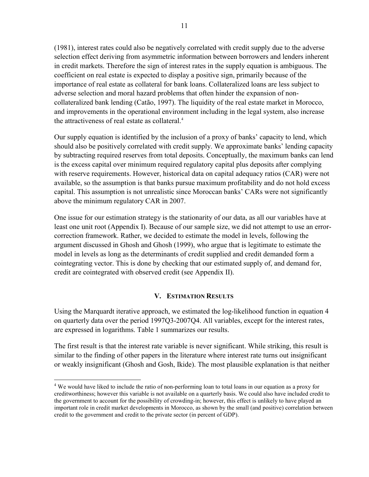(1981), interest rates could also be negatively correlated with credit supply due to the adverse selection effect deriving from asymmetric information between borrowers and lenders inherent in credit markets. Therefore the sign of interest rates in the supply equation is ambiguous. The coefficient on real estate is expected to display a positive sign, primarily because of the importance of real estate as collateral for bank loans. Collateralized loans are less subject to adverse selection and moral hazard problems that often hinder the expansion of noncollateralized bank lending (Catão, 1997). The liquidity of the real estate market in Morocco, and improvements in the operational environment including in the legal system, also increase the attractiveness of real estate as collateral.<sup>4</sup>

Our supply equation is identified by the inclusion of a proxy of banks' capacity to lend, which should also be positively correlated with credit supply. We approximate banks' lending capacity by subtracting required reserves from total deposits. Conceptually, the maximum banks can lend is the excess capital over minimum required regulatory capital plus deposits after complying with reserve requirements. However, historical data on capital adequacy ratios (CAR) were not available, so the assumption is that banks pursue maximum profitability and do not hold excess capital. This assumption is not unrealistic since Moroccan banks' CARs were not significantly above the minimum regulatory CAR in 2007.

One issue for our estimation strategy is the stationarity of our data, as all our variables have at least one unit root (Appendix I). Because of our sample size, we did not attempt to use an errorcorrection framework. Rather, we decided to estimate the model in levels, following the argument discussed in Ghosh and Ghosh (1999), who argue that is legitimate to estimate the model in levels as long as the determinants of credit supplied and credit demanded form a cointegrating vector. This is done by checking that our estimated supply of, and demand for, credit are cointegrated with observed credit (see Appendix II).

#### **V. ESTIMATION RESULTS**

Using the Marquardt iterative approach, we estimated the log-likelihood function in equation 4 on quarterly data over the period 1997Q3-2007Q4. All variables, except for the interest rates, are expressed in logarithms. Table 1 summarizes our results.

The first result is that the interest rate variable is never significant. While striking, this result is similar to the finding of other papers in the literature where interest rate turns out insignificant or weakly insignificant (Ghosh and Gosh, Ikide). The most plausible explanation is that neither

<u>.</u>

<sup>&</sup>lt;sup>4</sup> We would have liked to include the ratio of non-performing loan to total loans in our equation as a proxy for creditworthiness; however this variable is not available on a quarterly basis. We could also have included credit to the government to account for the possibility of crowding-in; however, this effect is unlikely to have played an important role in credit market developments in Morocco, as shown by the small (and positive) correlation between credit to the government and credit to the private sector (in percent of GDP).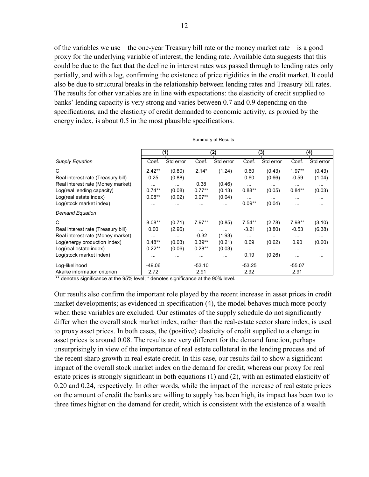of the variables we use—the one-year Treasury bill rate or the money market rate—is a good proxy for the underlying variable of interest, the lending rate. Available data suggests that this could be due to the fact that the decline in interest rates was passed through to lending rates only partially, and with a lag, confirming the existence of price rigidities in the credit market. It could also be due to structural breaks in the relationship between lending rates and Treasury bill rates. The results for other variables are in line with expectations: the elasticity of credit supplied to banks' lending capacity is very strong and varies between 0.7 and 0.9 depending on the specifications, and the elasticity of credit demanded to economic activity, as proxied by the energy index, is about 0.5 in the most plausible specifications.

|                                    |               | (1)       |               | (2)       |          | (3)       |          | (4)           |
|------------------------------------|---------------|-----------|---------------|-----------|----------|-----------|----------|---------------|
| <b>Supply Equation</b>             | Coef.         | Std error | Coef.         | Std error | Coef.    | Std error | Coef.    | Std error     |
| C                                  | $2.42**$      | (0.80)    | $2.14*$       | (1.24)    | 0.60     | (0.43)    | $1.97**$ | (0.43)        |
| Real interest rate (Treasury bill) | 0.25          | (0.88)    | $\cdots$      | $\cdots$  | 0.60     | (0.66)    | $-0.59$  | (1.04)        |
| Real interest rate (Money market)  | $\cdots$      | $\cdots$  | 0.38          | (0.46)    |          | $\cdots$  | $\cdots$ | $\sim$ $\sim$ |
| Log(real lending capacity)         | $0.74**$      | (0.08)    | $0.77**$      | (0.13)    | $0.88**$ | (0.05)    | $0.84**$ | (0.03)        |
| Log(real estate index)             | $0.08**$      | (0.02)    | $0.07**$      | (0.04)    | $\cdots$ | $\cdots$  | $\cdots$ | $\cdots$      |
| Log(stock market index)            | $\cdots$      | $\cdots$  | $\sim$ $\sim$ | $\cdots$  | $0.09**$ | (0.04)    | $\cdots$ | $\cdots$      |
| <b>Demand Equation</b>             |               |           |               |           |          |           |          |               |
| C                                  | $8.08***$     | (0.71)    | $7.97**$      | (0.85)    | $7.54**$ | (2.78)    | 7.98**   | (3.10)        |
| Real interest rate (Treasury bill) | 0.00          | (2.96)    | $\cdots$      | $\cdots$  | $-3.21$  | (3.80)    | $-0.53$  | (6.38)        |
| Real interest rate (Money market)  | $\sim$ $\sim$ | $\cdots$  | $-0.32$       | (1.93)    |          |           | $\cdots$ | $\sim$ $\sim$ |
| Log(energy production index)       | $0.48**$      | (0.03)    | $0.39**$      | (0.21)    | 0.69     | (0.62)    | 0.90     | (0.60)        |
| Log(real estate index)             | $0.22**$      | (0.06)    | $0.28**$      | (0.03)    | $\cdots$ | $\cdots$  | $\cdots$ | $\sim$        |
| Log(stock market index)            | $\cdots$      | $\cdots$  | $\cdots$      |           | 0.19     | (0.26)    | $\cdots$ |               |
| Log-likelihood                     | $-49.06$      |           | $-53.10$      |           | $-53.25$ |           | $-55.07$ |               |
| Akaike information criterion       | 2.72          |           | 2.91          |           | 2.92     |           | 2.91     |               |

Summary of Results

\*\* denotes significance at the 95% level; \* denotes significance at the 90% level.

Our results also confirm the important role played by the recent increase in asset prices in credit market developments; as evidenced in specification (4), the model behaves much more poorly when these variables are excluded. Our estimates of the supply schedule do not significantly differ when the overall stock market index, rather than the real-estate sector share index, is used to proxy asset prices. In both cases, the (positive) elasticity of credit supplied to a change in asset prices is around 0.08. The results are very different for the demand function, perhaps unsurprisingly in view of the importance of real estate collateral in the lending process and of the recent sharp growth in real estate credit. In this case, our results fail to show a significant impact of the overall stock market index on the demand for credit, whereas our proxy for real estate prices is strongly significant in both equations (1) and (2), with an estimated elasticity of 0.20 and 0.24, respectively. In other words, while the impact of the increase of real estate prices on the amount of credit the banks are willing to supply has been high, its impact has been two to three times higher on the demand for credit, which is consistent with the existence of a wealth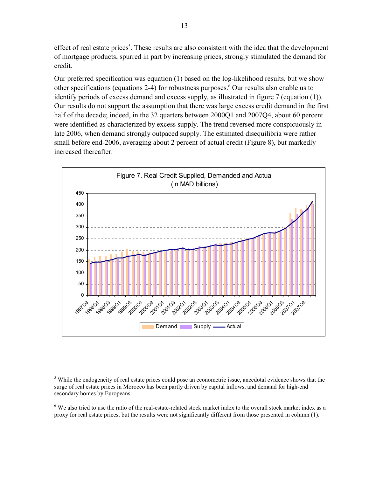effect of real estate prices<sup>5</sup>. These results are also consistent with the idea that the development of mortgage products, spurred in part by increasing prices, strongly stimulated the demand for credit.

Our preferred specification was equation (1) based on the log-likelihood results, but we show other specifications (equations 2-4) for robustness purposes.<sup>6</sup> Our results also enable us to identify periods of excess demand and excess supply, as illustrated in figure 7 (equation (1)). Our results do not support the assumption that there was large excess credit demand in the first half of the decade; indeed, in the 32 quarters between 2000Q1 and 2007Q4, about 60 percent were identified as characterized by excess supply. The trend reversed more conspicuously in late 2006, when demand strongly outpaced supply. The estimated disequilibria were rather small before end-2006, averaging about 2 percent of actual credit (Figure 8), but markedly increased thereafter.



<sup>&</sup>lt;u>.</u> <sup>5</sup> While the endogeneity of real estate prices could pose an econometric issue, anecdotal evidence shows that the surge of real estate prices in Morocco has been partly driven by capital inflows, and demand for high-end secondary homes by Europeans.

 $6$  We also tried to use the ratio of the real-estate-related stock market index to the overall stock market index as a proxy for real estate prices, but the results were not significantly different from those presented in column (1).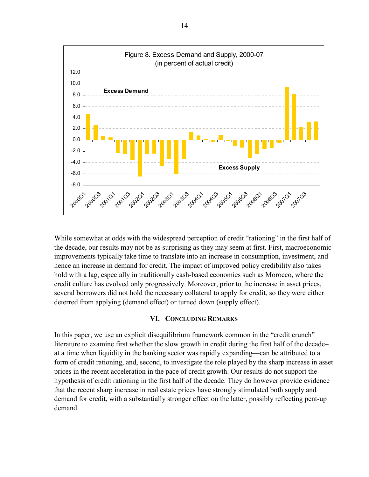

While somewhat at odds with the widespread perception of credit "rationing" in the first half of the decade, our results may not be as surprising as they may seem at first. First, macroeconomic improvements typically take time to translate into an increase in consumption, investment, and hence an increase in demand for credit. The impact of improved policy credibility also takes hold with a lag, especially in traditionally cash-based economies such as Morocco, where the credit culture has evolved only progressively. Moreover, prior to the increase in asset prices, several borrowers did not hold the necessary collateral to apply for credit, so they were either deterred from applying (demand effect) or turned down (supply effect).

#### **VI. CONCLUDING REMARKS**

In this paper, we use an explicit disequilibrium framework common in the "credit crunch" literature to examine first whether the slow growth in credit during the first half of the decade– at a time when liquidity in the banking sector was rapidly expanding—can be attributed to a form of credit rationing, and, second, to investigate the role played by the sharp increase in asset prices in the recent acceleration in the pace of credit growth. Our results do not support the hypothesis of credit rationing in the first half of the decade. They do however provide evidence that the recent sharp increase in real estate prices have strongly stimulated both supply and demand for credit, with a substantially stronger effect on the latter, possibly reflecting pent-up demand.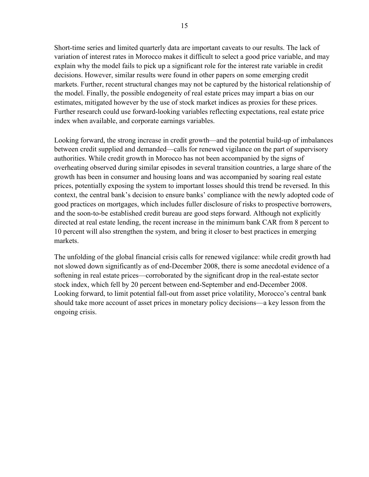Short-time series and limited quarterly data are important caveats to our results. The lack of variation of interest rates in Morocco makes it difficult to select a good price variable, and may explain why the model fails to pick up a significant role for the interest rate variable in credit decisions. However, similar results were found in other papers on some emerging credit markets. Further, recent structural changes may not be captured by the historical relationship of the model. Finally, the possible endogeneity of real estate prices may impart a bias on our estimates, mitigated however by the use of stock market indices as proxies for these prices. Further research could use forward-looking variables reflecting expectations, real estate price index when available, and corporate earnings variables.

Looking forward, the strong increase in credit growth—and the potential build-up of imbalances between credit supplied and demanded—calls for renewed vigilance on the part of supervisory authorities. While credit growth in Morocco has not been accompanied by the signs of overheating observed during similar episodes in several transition countries, a large share of the growth has been in consumer and housing loans and was accompanied by soaring real estate prices, potentially exposing the system to important losses should this trend be reversed. In this context, the central bank's decision to ensure banks' compliance with the newly adopted code of good practices on mortgages, which includes fuller disclosure of risks to prospective borrowers, and the soon-to-be established credit bureau are good steps forward. Although not explicitly directed at real estate lending, the recent increase in the minimum bank CAR from 8 percent to 10 percent will also strengthen the system, and bring it closer to best practices in emerging markets.

The unfolding of the global financial crisis calls for renewed vigilance: while credit growth had not slowed down significantly as of end-December 2008, there is some anecdotal evidence of a softening in real estate prices—corroborated by the significant drop in the real-estate sector stock index, which fell by 20 percent between end-September and end-December 2008. Looking forward, to limit potential fall-out from asset price volatility, Morocco's central bank should take more account of asset prices in monetary policy decisions—a key lesson from the ongoing crisis.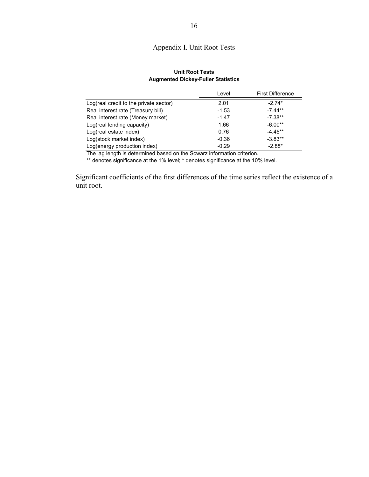### Appendix I. Unit Root Tests

#### **Unit Root Tests Augmented Dickey-Fuller Statistics**

|                                        | Level   | <b>First Difference</b> |
|----------------------------------------|---------|-------------------------|
| Log(real credit to the private sector) | 2.01    | $-2.74*$                |
| Real interest rate (Treasury bill)     | $-1.53$ | $-7.44**$               |
| Real interest rate (Money market)      | $-1.47$ | $-7.38**$               |
| Log(real lending capacity)             | 1.66    | $-6.00**$               |
| Log(real estate index)                 | 0.76    | $-4.45**$               |
| Log(stock market index)                | $-0.36$ | $-3.83**$               |
| Log(energy production index)           | $-0.29$ | $-2.88*$                |

The lag length is determined based on the Scwarz information criterion.

\*\* denotes significance at the 1% level; \* denotes significance at the 10% level.

Significant coefficients of the first differences of the time series reflect the existence of a unit root.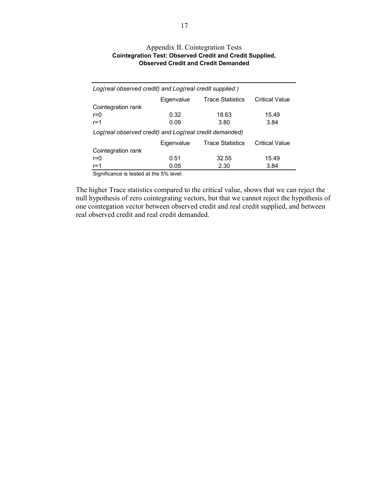| Log(real observed credit) and Log(real credit supplied) |                                       |                         |                       |  |  |  |
|---------------------------------------------------------|---------------------------------------|-------------------------|-----------------------|--|--|--|
|                                                         | Eigenvalue<br><b>Trace Statistics</b> |                         | <b>Critical Value</b> |  |  |  |
| Cointegration rank                                      |                                       |                         |                       |  |  |  |
| $r = 0$                                                 | 0.32                                  | 18.63                   | 15.49                 |  |  |  |
| $r = 1$                                                 | 0.09                                  | 3.80                    | 3.84                  |  |  |  |
| Log(real observed credit) and Log(real credit demanded) |                                       |                         |                       |  |  |  |
|                                                         | Eigenvalue                            | <b>Trace Statistics</b> | <b>Critical Value</b> |  |  |  |
| Cointegration rank                                      |                                       |                         |                       |  |  |  |
| $r=0$                                                   | 0.51                                  | 32.55                   | 15.49                 |  |  |  |
| $r = 1$                                                 | 0.05                                  | 2.30                    | 3.84                  |  |  |  |

#### Appendix II. Cointegration Tests **Cointegration Test: Observed Credit and Credit Supplied, Observed Credit and Credit Demanded**

Significance is tested at the 5% level.

The higher Trace statistics compared to the critical value, shows that we can reject the null hypothesis of zero cointegrating vectors, but that we cannot reject the hypothesis of one cointegation vector between observed credit and real credit supplied, and between real observed credit and real credit demanded.